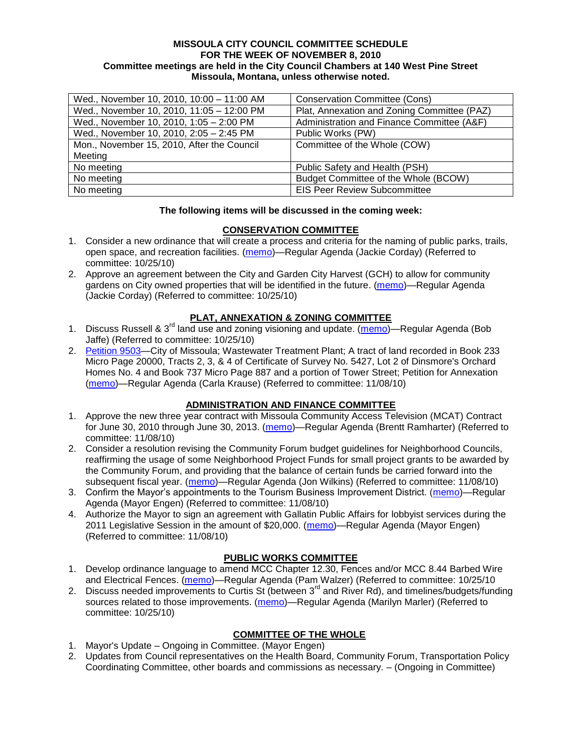#### **MISSOULA CITY COUNCIL COMMITTEE SCHEDULE FOR THE WEEK OF NOVEMBER 8, 2010 Committee meetings are held in the City Council Chambers at 140 West Pine Street Missoula, Montana, unless otherwise noted.**

| Wed., November 10, 2010, 10:00 - 11:00 AM  | <b>Conservation Committee (Cons)</b>        |
|--------------------------------------------|---------------------------------------------|
| Wed., November 10, 2010, 11:05 - 12:00 PM  | Plat, Annexation and Zoning Committee (PAZ) |
| Wed., November 10, 2010, 1:05 - 2:00 PM    | Administration and Finance Committee (A&F)  |
| Wed., November 10, 2010, 2:05 - 2:45 PM    | Public Works (PW)                           |
| Mon., November 15, 2010, After the Council | Committee of the Whole (COW)                |
| Meeting                                    |                                             |
| No meeting                                 | Public Safety and Health (PSH)              |
| No meeting                                 | Budget Committee of the Whole (BCOW)        |
| No meeting                                 | <b>EIS Peer Review Subcommittee</b>         |

#### **The following items will be discussed in the coming week:**

### **CONSERVATION COMMITTEE**

- 1. Consider a new ordinance that will create a process and criteria for the naming of public parks, trails, open space, and recreation facilities. [\(memo\)](http://www.ci.missoula.mt.us/DocumentView.aspx?DID=4848)—Regular Agenda (Jackie Corday) (Referred to committee: 10/25/10)
- 2. Approve an agreement between the City and Garden City Harvest (GCH) to allow for community gardens on City owned properties that will be identified in the future. [\(memo\)](http://www.ci.missoula.mt.us/DocumentView.aspx?DID=4847)—Regular Agenda (Jackie Corday) (Referred to committee: 10/25/10)

# **PLAT, ANNEXATION & ZONING COMMITTEE**

- 1. Discuss Russell & 3<sup>rd</sup> land use and zoning visioning and update. [\(memo\)](http://www.ci.missoula.mt.us/DocumentView.aspx?DID=4864)—Regular Agenda (Bob Jaffe) (Referred to committee: 10/25/10)
- 2. [Petition 9503—](http://www.ci.missoula.mt.us/DocumentView.aspx?DID=4986)City of Missoula; Wastewater Treatment Plant; A tract of land recorded in Book 233 Micro Page 20000, Tracts 2, 3, & 4 of Certificate of Survey No. 5427, Lot 2 of Dinsmore's Orchard Homes No. 4 and Book 737 Micro Page 887 and a portion of Tower Street; Petition for Annexation [\(memo\)](http://www.ci.missoula.mt.us/DocumentView.aspx?DID=4992)—Regular Agenda (Carla Krause) (Referred to committee: 11/08/10)

### **ADMINISTRATION AND FINANCE COMMITTEE**

- 1. Approve the new three year contract with Missoula Community Access Television (MCAT) Contract for June 30, 2010 through June 30, 2013. [\(memo\)](http://www.ci.missoula.mt.us/DocumentView.aspx?DID=4967)—Regular Agenda (Brentt Ramharter) (Referred to committee: 11/08/10)
- 2. Consider a resolution revising the Community Forum budget guidelines for Neighborhood Councils, reaffirming the usage of some Neighborhood Project Funds for small project grants to be awarded by the Community Forum, and providing that the balance of certain funds be carried forward into the subsequent fiscal year. [\(memo\)](http://www.ci.missoula.mt.us/DocumentView.aspx?DID=4949)—Regular Agenda (Jon Wilkins) (Referred to committee: 11/08/10)
- 3. Confirm the Mayor's appointments to the Tourism Business Improvement District. [\(memo\)](http://www.ci.missoula.mt.us/DocumentView.aspx?DID=4964)—Regular Agenda (Mayor Engen) (Referred to committee: 11/08/10)
- 4. Authorize the Mayor to sign an agreement with Gallatin Public Affairs for lobbyist services during the 2011 Legislative Session in the amount of \$20,000. [\(memo\)](http://www.ci.missoula.mt.us/DocumentView.aspx?DID=4941)—Regular Agenda (Mayor Engen) (Referred to committee: 11/08/10)

### **PUBLIC WORKS COMMITTEE**

- 1. Develop ordinance language to amend MCC Chapter 12.30, Fences and/or MCC 8.44 Barbed Wire and Electrical Fences. [\(memo\)](http://www.ci.missoula.mt.us/DocumentView.aspx?DID=4872)—Regular Agenda (Pam Walzer) (Referred to committee: 10/25/10
- 2. Discuss needed improvements to Curtis St (between 3<sup>rd</sup> and River Rd), and timelines/budgets/funding sources related to those improvements. [\(memo\)](http://www.ci.missoula.mt.us/DocumentView.aspx?DID=4854)—Regular Agenda (Marilyn Marler) (Referred to committee: 10/25/10)

# **COMMITTEE OF THE WHOLE**

- 1. Mayor's Update Ongoing in Committee. (Mayor Engen)
- 2. Updates from Council representatives on the Health Board, Community Forum, Transportation Policy Coordinating Committee, other boards and commissions as necessary. – (Ongoing in Committee)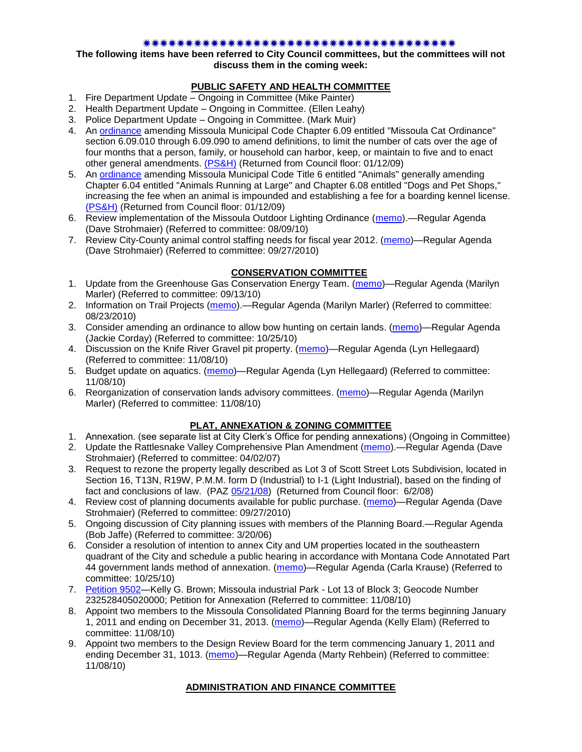#### 

#### **The following items have been referred to City Council committees, but the committees will not discuss them in the coming week:**

## **PUBLIC SAFETY AND HEALTH COMMITTEE**

- 1. Fire Department Update Ongoing in Committee (Mike Painter)
- 2. Health Department Update Ongoing in Committee. (Ellen Leahy)
- 3. Police Department Update Ongoing in Committee. (Mark Muir)
- 4. An [ordinance](ftp://ftp.ci.missoula.mt.us/Packets/Council/2008/2008-12-15/2008CatOrdinanceAmendment%5B1%5D.pdf) amending Missoula Municipal Code Chapter 6.09 entitled "Missoula Cat Ordinance" section 6.09.010 through 6.09.090 to amend definitions, to limit the number of cats over the age of four months that a person, family, or household can harbor, keep, or maintain to five and to enact other general amendments. [\(PS&H\)](ftp://ftp.ci.missoula.mt.us/Packets/Council/2008/2008-12-15/081210psh.pdf) (Returned from Council floor: 01/12/09)
- 5. An [ordinance](ftp://ftp.ci.missoula.mt.us/Packets/Council/2008/2008-12-15/DogOrdinance--PSHrevisions.pdf) amending Missoula Municipal Code Title 6 entitled "Animals" generally amending Chapter 6.04 entitled "Animals Running at Large" and Chapter 6.08 entitled "Dogs and Pet Shops," increasing the fee when an animal is impounded and establishing a fee for a boarding kennel license. [\(PS&H\)](ftp://ftp.ci.missoula.mt.us/Packets/Council/2008/2008-12-15/081210psh.pdf) (Returned from Council floor: 01/12/09)
- 6. Review implementation of the Missoula Outdoor Lighting Ordinance [\(memo\)](http://www.ci.missoula.mt.us/DocumentView.aspx?DID=4420).—Regular Agenda (Dave Strohmaier) (Referred to committee: 08/09/10)
- 7. Review City-County animal control staffing needs for fiscal year 2012. [\(memo\)](http://www.ci.missoula.mt.us/DocumentView.aspx?DID=4620)—Regular Agenda (Dave Strohmaier) (Referred to committee: 09/27/2010)

# **CONSERVATION COMMITTEE**

- 1. Update from the Greenhouse Gas Conservation Energy Team. [\(memo\)](http://www.ci.missoula.mt.us/DocumentView.aspx?DID=4556)—Regular Agenda (Marilyn Marler) (Referred to committee: 09/13/10)
- 2. Information on Trail Projects [\(memo\)](http://www.ci.missoula.mt.us/DocumentView.aspx?DID=4477).—Regular Agenda (Marilyn Marler) (Referred to committee: 08/23/2010)
- 3. Consider amending an ordinance to allow bow hunting on certain lands. [\(memo\)](http://www.ci.missoula.mt.us/DocumentView.aspx?DID=4846)—Regular Agenda (Jackie Corday) (Referred to committee: 10/25/10)
- 4. Discussion on the Knife River Gravel pit property. [\(memo\)](http://www.ci.missoula.mt.us/DocumentView.aspx?DID=4914)—Regular Agenda (Lyn Hellegaard) (Referred to committee: 11/08/10)
- 5. Budget update on aquatics. [\(memo\)](http://www.ci.missoula.mt.us/DocumentView.aspx?DID=4917)—Regular Agenda (Lyn Hellegaard) (Referred to committee: 11/08/10)
- 6. Reorganization of conservation lands advisory committees. [\(memo\)](http://www.ci.missoula.mt.us/DocumentView.aspx?DID=4957)—Regular Agenda (Marilyn Marler) (Referred to committee: 11/08/10)

# **PLAT, ANNEXATION & ZONING COMMITTEE**

- 1. Annexation. (see separate list at City Clerk's Office for pending annexations) (Ongoing in Committee)
- 2. Update the Rattlesnake Valley Comprehensive Plan Amendment [\(memo\)](ftp://ftp.ci.missoula.mt.us/Packets/Council/2007/2007-04-02/Referrals/Rattlesnake_Plan_Update_referral.pdf).—Regular Agenda (Dave Strohmaier) (Referred to committee: 04/02/07)
- 3. Request to rezone the property legally described as Lot 3 of Scott Street Lots Subdivision, located in Section 16, T13N, R19W, P.M.M. form D (Industrial) to I-1 (Light Industrial), based on the finding of fact and conclusions of law. (PAZ [05/21/08\)](ftp://ftp.ci.missoula.mt.us/Packets/Council/2008/2008-06-02/080521paz.pdf) (Returned from Council floor: 6/2/08)
- 4. Review cost of planning documents available for public purchase. [\(memo\)](http://www.ci.missoula.mt.us/DocumentView.aspx?DID=4624)—Regular Agenda (Dave Strohmaier) (Referred to committee: 09/27/2010)
- 5. Ongoing discussion of City planning issues with members of the Planning Board.—Regular Agenda (Bob Jaffe) (Referred to committee: 3/20/06)
- 6. Consider a resolution of intention to annex City and UM properties located in the southeastern quadrant of the City and schedule a public hearing in accordance with Montana Code Annotated Part 44 government lands method of annexation. [\(memo\)](http://www.ci.missoula.mt.us/DocumentView.aspx?DID=4845)—Regular Agenda (Carla Krause) (Referred to committee: 10/25/10)
- 7. [Petition 9502—](http://www.ci.missoula.mt.us/DocumentView.aspx?DID=4910)Kelly G. Brown; Missoula industrial Park Lot 13 of Block 3; Geocode Number 232528405020000; Petition for Annexation (Referred to committee: 11/08/10)
- 8. Appoint two members to the Missoula Consolidated Planning Board for the terms beginning January 1, 2011 and ending on December 31, 2013. [\(memo\)](http://www.ci.missoula.mt.us/DocumentView.aspx?DID=4950)—Regular Agenda (Kelly Elam) (Referred to committee: 11/08/10)
- 9. Appoint two members to the Design Review Board for the term commencing January 1, 2011 and ending December 31, 1013. [\(memo\)](http://www.ci.missoula.mt.us/DocumentView.aspx?DID=4989)—Regular Agenda (Marty Rehbein) (Referred to committee: 11/08/10)

### **ADMINISTRATION AND FINANCE COMMITTEE**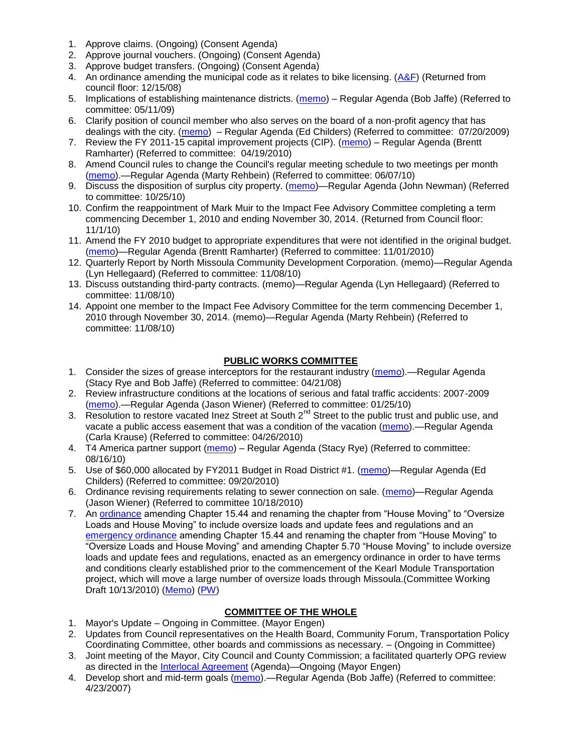- 1. Approve claims. (Ongoing) (Consent Agenda)
- 2. Approve journal vouchers. (Ongoing) (Consent Agenda)
- 3. Approve budget transfers. (Ongoing) (Consent Agenda)
- 4. An ordinance amending the municipal code as it relates to bike licensing.  $(A\&F)$  (Returned from council floor: 12/15/08)
- 5. Implications of establishing maintenance districts. [\(memo\)](ftp://ftp.ci.missoula.mt.us/Packets/Council/2009/2009-05-11/Referrals/MaintenanceDistricts.pdf) Regular Agenda (Bob Jaffe) (Referred to committee: 05/11/09)
- 6. Clarify position of council member who also serves on the board of a non-profit agency that has dealings with the city. [\(memo\)](http://www.ci.missoula.mt.us/DocumentView.aspx?DID=1840) – Regular Agenda (Ed Childers) (Referred to committee: 07/20/2009)
- 7. Review the FY 2011-15 capital improvement projects (CIP). [\(memo\)](http://www.ci.missoula.mt.us/DocumentView.aspx?DID=3522) Regular Agenda (Brentt Ramharter) (Referred to committee: 04/19/2010)
- 8. Amend Council rules to change the Council's regular meeting schedule to two meetings per month [\(memo\)](http://www.ci.missoula.mt.us/DocumentView.aspx?DID=4027).—Regular Agenda (Marty Rehbein) (Referred to committee: 06/07/10)
- 9. Discuss the disposition of surplus city property. [\(memo\)](http://www.ci.missoula.mt.us/DocumentView.aspx?DID=4862)—Regular Agenda (John Newman) (Referred to committee: 10/25/10)
- 10. Confirm the reappointment of Mark Muir to the Impact Fee Advisory Committee completing a term commencing December 1, 2010 and ending November 30, 2014. (Returned from Council floor: 11/1/10)
- 11. Amend the FY 2010 budget to appropriate expenditures that were not identified in the original budget. [\(memo\)](http://www.ci.missoula.mt.us/DocumentView.aspx?DID=4883)—Regular Agenda (Brentt Ramharter) (Referred to committee: 11/01/2010)
- 12. Quarterly Report by North Missoula Community Development Corporation. (memo)—Regular Agenda (Lyn Hellegaard) (Referred to committee: 11/08/10)
- 13. Discuss outstanding third-party contracts. (memo)—Regular Agenda (Lyn Hellegaard) (Referred to committee: 11/08/10)
- 14. Appoint one member to the Impact Fee Advisory Committee for the term commencing December 1, 2010 through November 30, 2014. (memo)—Regular Agenda (Marty Rehbein) (Referred to committee: 11/08/10)

### **PUBLIC WORKS COMMITTEE**

- 1. Consider the sizes of grease interceptors for the restaurant industry [\(memo\)](ftp://ftp.ci.missoula.mt.us/Packets/Council/2008/2008-04-21/Referrals/Industrial_waste_restaurants.pdf).—Regular Agenda (Stacy Rye and Bob Jaffe) (Referred to committee: 04/21/08)
- 2. Review infrastructure conditions at the locations of serious and fatal traffic accidents: 2007-2009 [\(memo\)](http://www.ci.missoula.mt.us/DocumentView.aspx?DID=3031).—Regular Agenda (Jason Wiener) (Referred to committee: 01/25/10)
- 3. Resolution to restore vacated Inez Street at South 2<sup>nd</sup> Street to the public trust and public use, and vacate a public access easement that was a condition of the vacation [\(memo\)](http://www.ci.missoula.mt.us/DocumentView.aspx?DID=3573).—Regular Agenda (Carla Krause) (Referred to committee: 04/26/2010)
- 4. T4 America partner support [\(memo\)](http://www.ci.missoula.mt.us/DocumentView.aspx?DID=4452) Regular Agenda (Stacy Rye) (Referred to committee: 08/16/10)
- 5. Use of \$60,000 allocated by FY2011 Budget in Road District #1. [\(memo\)](http://www.ci.missoula.mt.us/DocumentView.aspx?DID=4589)—Regular Agenda (Ed Childers) (Referred to committee: 09/20/2010)
- 6. Ordinance revising requirements relating to sewer connection on sale. [\(memo\)](http://www.ci.missoula.mt.us/DocumentView.aspx?DID=4746)—Regular Agenda (Jason Wiener) (Referred to committee 10/18/2010)
- 7. An [ordinance](http://www.ci.missoula.mt.us/DocumentView.aspx?DID=4348) amending Chapter 15.44 and renaming the chapter from "House Moving" to "Oversize" Loads and House Moving" to include oversize loads and update fees and regulations and an [emergency ordinance](http://www.ci.missoula.mt.us/DocumentView.aspx?DID=4409) amending Chapter 15.44 and renaming the chapter from "House Moving" to "Oversize Loads and House Moving" and amending Chapter 5.70 "House Moving" to include oversize loads and update fees and regulations, enacted as an emergency ordinance in order to have terms and conditions clearly established prior to the commencement of the Kearl Module Transportation project, which will move a large number of oversize loads through Missoula.(Committee Working Draft 10/13/2010) [\(Memo\)](http://www.ci.missoula.mt.us/DocumentView.aspx?DID=4362) [\(PW\)](http://www.ci.missoula.mt.us/Archive.aspx?ADID=2800)

## **COMMITTEE OF THE WHOLE**

- 1. Mayor's Update Ongoing in Committee. (Mayor Engen)
- 2. Updates from Council representatives on the Health Board, Community Forum, Transportation Policy Coordinating Committee, other boards and commissions as necessary. – (Ongoing in Committee)
- 3. Joint meeting of the Mayor, City Council and County Commission; a facilitated quarterly OPG review as directed in the [Interlocal Agreement](ftp://ftp.ci.missoula.mt.us/Documents/Mayor/OPG/Adopted-ILA-2005.pdf) (Agenda)—Ongoing (Mayor Engen)
- 4. Develop short and mid-term goals [\(memo\)](ftp://ftp.ci.missoula.mt.us/Packets/Council/2007/2007-04-23/Referrals/Council_Goals.pdf).—Regular Agenda (Bob Jaffe) (Referred to committee: 4/23/2007)